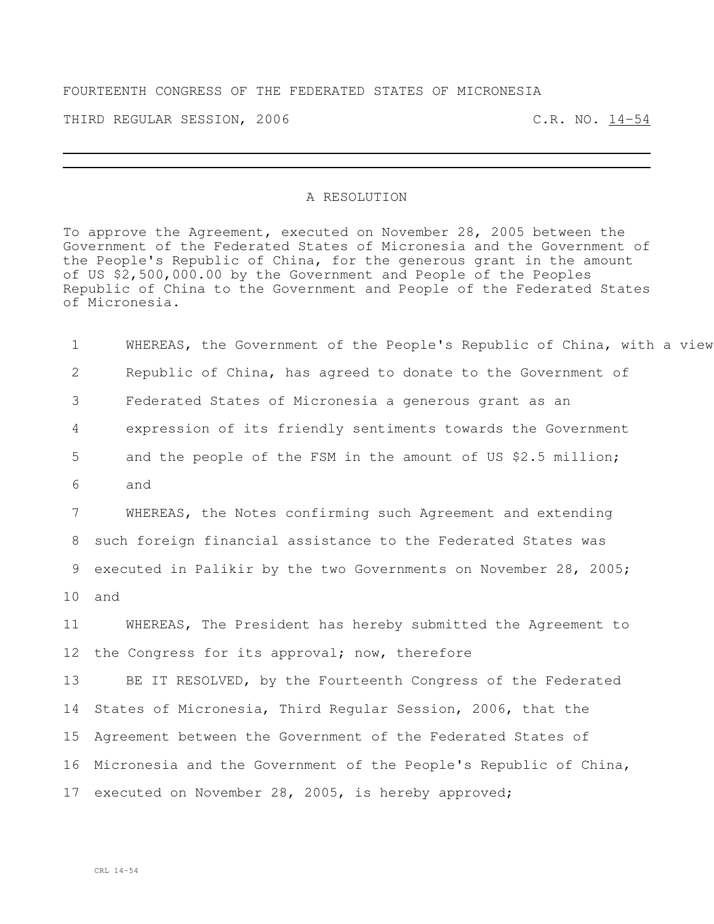## FOURTEENTH CONGRESS OF THE FEDERATED STATES OF MICRONESIA

THIRD REGULAR SESSION, 2006 C.R. NO. 14-54

## A RESOLUTION

To approve the Agreement, executed on November 28, 2005 between the Government of the Federated States of Micronesia and the Government of the People's Republic of China, for the generous grant in the amount of US \$2,500,000.00 by the Government and People of the Peoples Republic of China to the Government and People of the Federated States of Micronesia.

1 WHEREAS, the Government of the People's Republic of China, with a view Republic of China, has agreed to donate to the Government of Federated States of Micronesia a generous grant as an expression of its friendly sentiments towards the Government 5 and the people of the FSM in the amount of US \$2.5 million; 6 and WHEREAS, the Notes confirming such Agreement and extending such foreign financial assistance to the Federated States was executed in Palikir by the two Governments on November 28, 2005; 10 and WHEREAS, The President has hereby submitted the Agreement to 12 the Congress for its approval; now, therefore 13 BE IT RESOLVED, by the Fourteenth Congress of the Federated States of Micronesia, Third Regular Session, 2006, that the Agreement between the Government of the Federated States of Micronesia and the Government of the People's Republic of China, executed on November 28, 2005, is hereby approved;